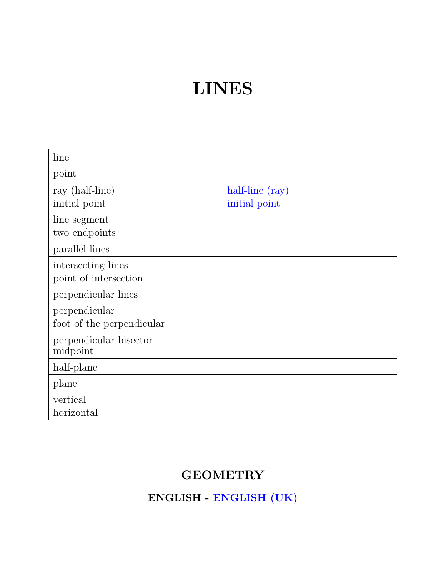## LINES

| line                                        |                                  |
|---------------------------------------------|----------------------------------|
| point                                       |                                  |
| ray (half-line)<br>initial point            | half-line (ray)<br>initial point |
| line segment<br>two endpoints               |                                  |
| parallel lines                              |                                  |
| intersecting lines<br>point of intersection |                                  |
| perpendicular lines                         |                                  |
| perpendicular<br>foot of the perpendicular  |                                  |
| perpendicular bisector<br>midpoint          |                                  |
| half-plane                                  |                                  |
| plane                                       |                                  |
| vertical<br>horizontal                      |                                  |

#### **GEOMETRY**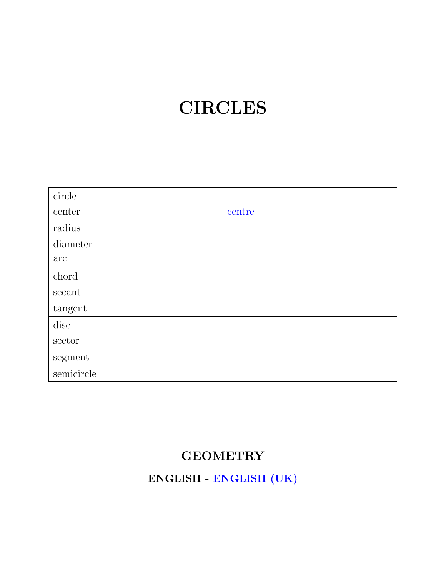## **CIRCLES**

| circle     |        |
|------------|--------|
| center     | centre |
| radius     |        |
| diameter   |        |
| arc        |        |
| chord      |        |
| secant     |        |
| tangent    |        |
| disc       |        |
| sector     |        |
| segment    |        |
| semicircle |        |

### **GEOMETRY**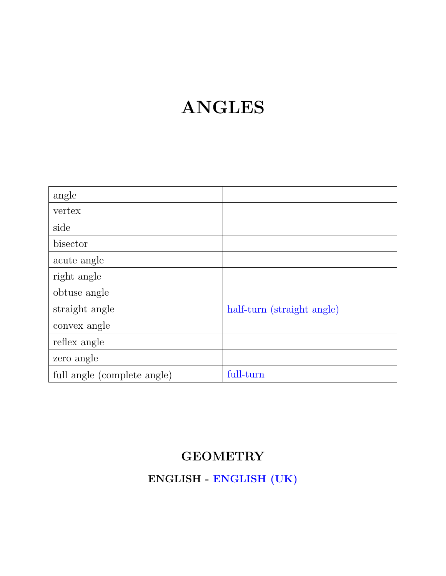## ANGLES

| angle                       |                            |
|-----------------------------|----------------------------|
| vertex                      |                            |
| side                        |                            |
| bisector                    |                            |
| acute angle                 |                            |
| right angle                 |                            |
| obtuse angle                |                            |
| straight angle              | half-turn (straight angle) |
| convex angle                |                            |
| reflex angle                |                            |
| zero angle                  |                            |
| full angle (complete angle) | full-turn                  |

### **GEOMETRY**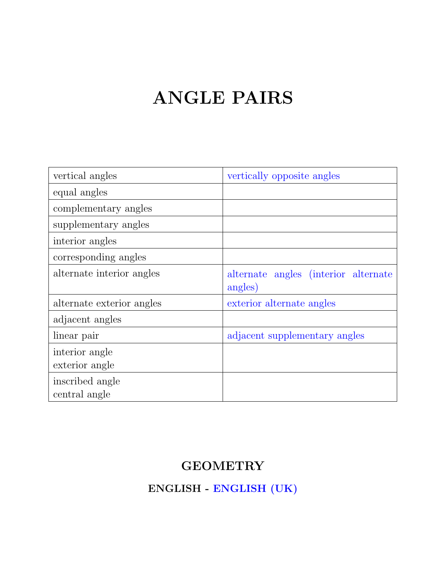## ANGLE PAIRS

| vertical angles           | vertically opposite angles                      |
|---------------------------|-------------------------------------------------|
| equal angles              |                                                 |
| complementary angles      |                                                 |
| supplementary angles      |                                                 |
| interior angles           |                                                 |
| corresponding angles      |                                                 |
| alternate interior angles | alternate angles (interior alternate<br>angles) |
| alternate exterior angles | exterior alternate angles                       |
| adjacent angles           |                                                 |
| linear pair               | adjacent supplementary angles                   |
| interior angle            |                                                 |
| exterior angle            |                                                 |
| inscribed angle           |                                                 |
| central angle             |                                                 |

### **GEOMETRY**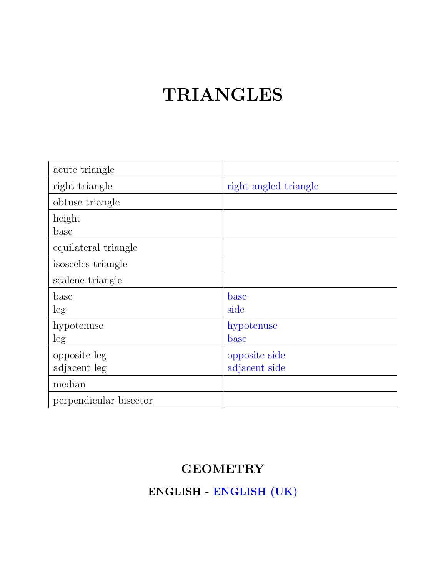## TRIANGLES

| acute triangle         |                       |
|------------------------|-----------------------|
| right triangle         | right-angled triangle |
| obtuse triangle        |                       |
| height                 |                       |
| base                   |                       |
| equilateral triangle   |                       |
| isosceles triangle     |                       |
| scalene triangle       |                       |
| base                   | base                  |
| leg                    | side                  |
| hypotenuse             | hypotenuse            |
| leg                    | base                  |
| opposite leg           | opposite side         |
| adjacent leg           | adjacent side         |
| median                 |                       |
| perpendicular bisector |                       |

#### **GEOMETRY**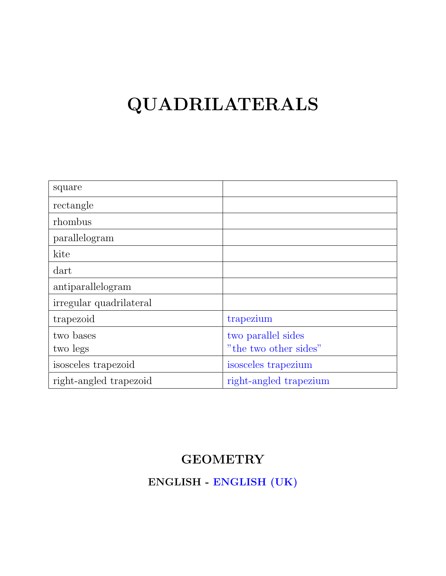# QUADRILATERALS

| square                  |                        |
|-------------------------|------------------------|
| rectangle               |                        |
| rhombus                 |                        |
| parallelogram           |                        |
| kite                    |                        |
| dart                    |                        |
| antiparallelogram       |                        |
| irregular quadrilateral |                        |
| trapezoid               | trapezium              |
| two bases               | two parallel sides     |
| two legs                | "the two other sides"  |
| isosceles trapezoid     | isosceles trapezium    |
| right-angled trapezoid  | right-angled trapezium |

#### **GEOMETRY**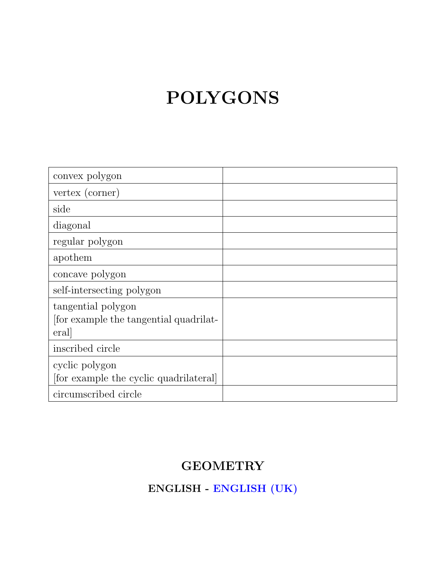# POLYGONS

| convex polygon                                                      |  |
|---------------------------------------------------------------------|--|
| vertex (corner)                                                     |  |
| side                                                                |  |
| diagonal                                                            |  |
| regular polygon                                                     |  |
| apothem                                                             |  |
| concave polygon                                                     |  |
| self-intersecting polygon                                           |  |
| tangential polygon<br>for example the tangential quadrilat-<br>eral |  |
| inscribed circle                                                    |  |
| cyclic polygon<br>[for example the cyclic quadrilateral]            |  |
| circumscribed circle                                                |  |

### **GEOMETRY**